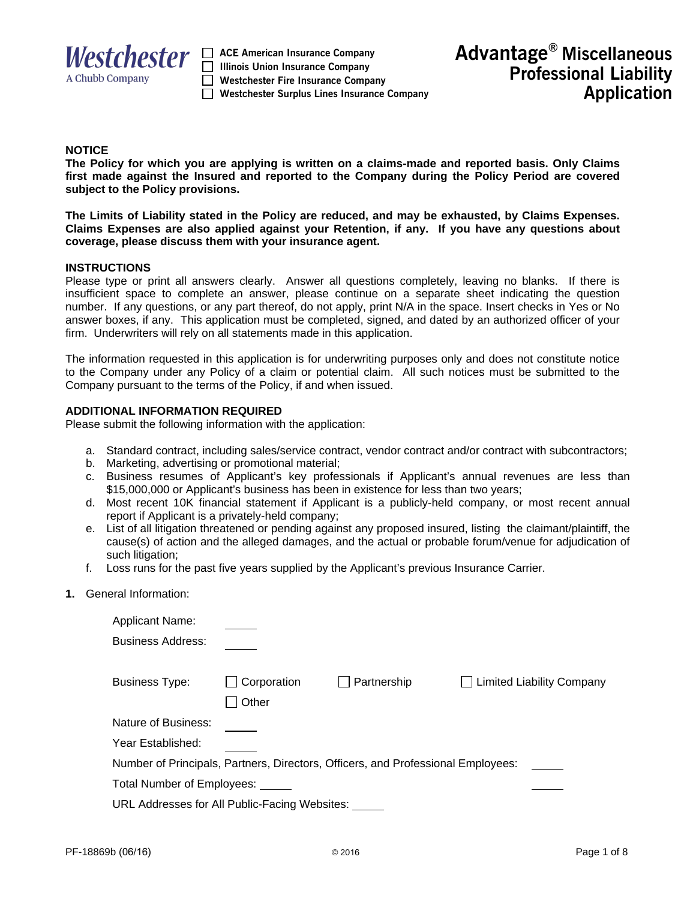

 $$  **Illinois Union Insurance Company Westchester Fire Insurance Company Westchester Surplus Lines Insurance Company** 

## **NOTICE**

**The Policy for which you are applying is written on a claims-made and reported basis. Only Claims first made against the Insured and reported to the Company during the Policy Period are covered subject to the Policy provisions.** 

**The Limits of Liability stated in the Policy are reduced, and may be exhausted, by Claims Expenses. Claims Expenses are also applied against your Retention, if any. If you have any questions about coverage, please discuss them with your insurance agent.** 

#### **INSTRUCTIONS**

Please type or print all answers clearly. Answer all questions completely, leaving no blanks. If there is insufficient space to complete an answer, please continue on a separate sheet indicating the question number. If any questions, or any part thereof, do not apply, print N/A in the space. Insert checks in Yes or No answer boxes, if any. This application must be completed, signed, and dated by an authorized officer of your firm. Underwriters will rely on all statements made in this application.

The information requested in this application is for underwriting purposes only and does not constitute notice to the Company under any Policy of a claim or potential claim. All such notices must be submitted to the Company pursuant to the terms of the Policy, if and when issued.

### **ADDITIONAL INFORMATION REQUIRED**

Please submit the following information with the application:

- a. Standard contract, including sales/service contract, vendor contract and/or contract with subcontractors;
- b. Marketing, advertising or promotional material;
- c. Business resumes of Applicant's key professionals if Applicant's annual revenues are less than \$15,000,000 or Applicant's business has been in existence for less than two years;
- d. Most recent 10K financial statement if Applicant is a publicly-held company, or most recent annual report if Applicant is a privately-held company;
- e. List of all litigation threatened or pending against any proposed insured, listing the claimant/plaintiff, the cause(s) of action and the alleged damages, and the actual or probable forum/venue for adjudication of such litigation;
- f. Loss runs for the past five years supplied by the Applicant's previous Insurance Carrier.
- **1.** General Information:

| <b>Applicant Name:</b>                                                           |                    |             |  |                           |  |
|----------------------------------------------------------------------------------|--------------------|-------------|--|---------------------------|--|
| <b>Business Address:</b>                                                         |                    |             |  |                           |  |
| <b>Business Type:</b>                                                            | $\Box$ Corporation | Partnership |  | Limited Liability Company |  |
|                                                                                  | Other              |             |  |                           |  |
| Nature of Business:                                                              |                    |             |  |                           |  |
| Year Established:                                                                |                    |             |  |                           |  |
| Number of Principals, Partners, Directors, Officers, and Professional Employees: |                    |             |  |                           |  |
| Total Number of Employees: _____                                                 |                    |             |  |                           |  |
| URL Addresses for All Public-Facing Websites:                                    |                    |             |  |                           |  |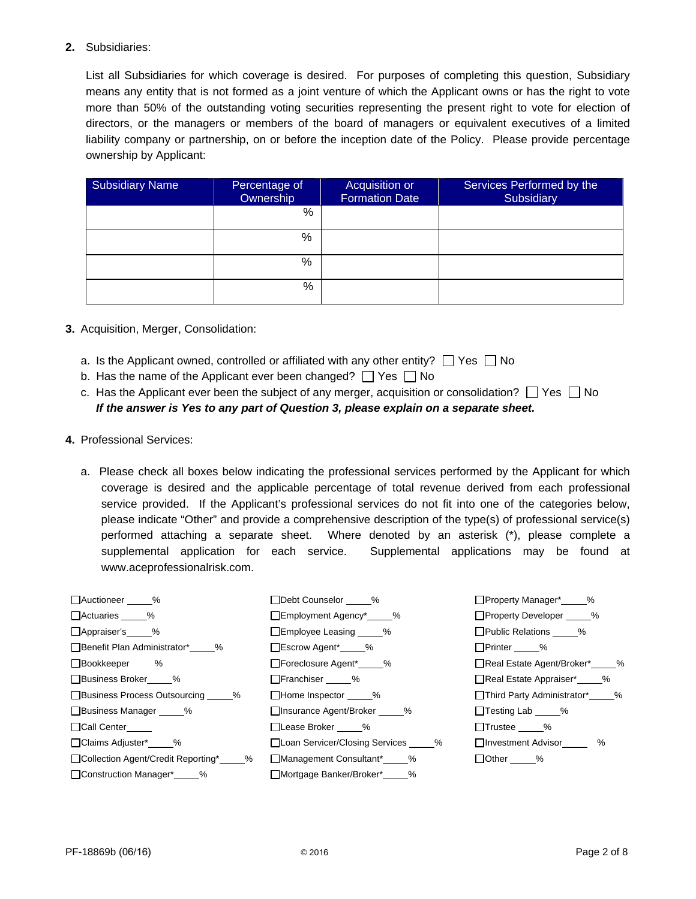# **2.** Subsidiaries:

List all Subsidiaries for which coverage is desired. For purposes of completing this question, Subsidiary means any entity that is not formed as a joint venture of which the Applicant owns or has the right to vote more than 50% of the outstanding voting securities representing the present right to vote for election of directors, or the managers or members of the board of managers or equivalent executives of a limited liability company or partnership, on or before the inception date of the Policy. Please provide percentage ownership by Applicant:

| <b>Subsidiary Name</b> | Percentage of<br>Ownership | Acquisition or<br><b>Formation Date</b> | Services Performed by the<br>Subsidiary |
|------------------------|----------------------------|-----------------------------------------|-----------------------------------------|
|                        | %                          |                                         |                                         |
|                        | %                          |                                         |                                         |
|                        | %                          |                                         |                                         |
|                        | %                          |                                         |                                         |

- **3.** Acquisition, Merger, Consolidation:
	- a. Is the Applicant owned, controlled or affiliated with any other entity?  $\Box$  Yes  $\Box$  No
	- b. Has the name of the Applicant ever been changed?  $\Box$  Yes  $\Box$  No
	- c. Has the Applicant ever been the subject of any merger, acquisition or consolidation?  $\Box$  Yes  $\Box$  No *If the answer is Yes to any part of Question 3, please explain on a separate sheet.*
- **4.** Professional Services:
	- a. Please check all boxes below indicating the professional services performed by the Applicant for which coverage is desired and the applicable percentage of total revenue derived from each professional service provided. If the Applicant's professional services do not fit into one of the categories below, please indicate "Other" and provide a comprehensive description of the type(s) of professional service(s) performed attaching a separate sheet. Where denoted by an asterisk (\*), please complete a supplemental application for each service. Supplemental applications may be found at www.aceprofessionalrisk.com.

| □Auctioneer %                         | □Debt Counselor %                 | □Property Manager* 2%        |
|---------------------------------------|-----------------------------------|------------------------------|
| □ Actuaries %                         | □Employment Agency*<br>2%         | □Property Developer %        |
| △Appraiser's 49%                      | □Employee Leasing _____%          | □ Public Relations %         |
| □ Benefit Plan Administrator* %       | □Escrow Agent* %                  | □Printer %                   |
| □Bookkeeper %                         | □Foreclosure Agent*<br>2%         | Real Estate Agent/Broker* 2% |
| □Business Broker %                    | □Franchiser _____%                | Real Estate Appraiser* 2%    |
| □Business Process Outsourcing _____%  | □Home Inspector %                 | Third Party Administrator* % |
| □Business Manager _____%              | □ Insurance Agent/Broker %        | □Testing Lab _____%          |
| □Call Center<br>□                     | □Lease Broker %                   | □Trustee %                   |
| □Claims Adjuster* 2%                  | □Loan Servicer/Closing Services % | □ Investment Advisor %       |
| □Collection Agent/Credit Reporting* % | □ Management Consultant* %        | □Other _____%                |
| □ Construction Manager* %             | □ Mortgage Banker/Broker* %       |                              |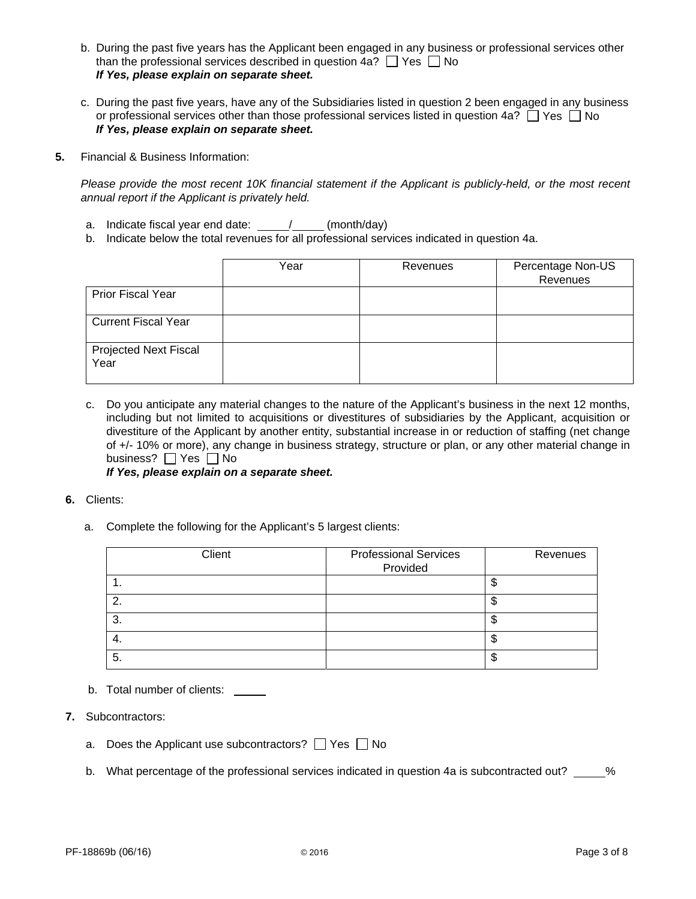- b. During the past five years has the Applicant been engaged in any business or professional services other than the professional services described in question 4a?  $\Box$  Yes  $\Box$  No *If Yes, please explain on separate sheet.*
- c. During the past five years, have any of the Subsidiaries listed in question 2 been engaged in any business or professional services other than those professional services listed in question 4a?  $\Box$  Yes  $\Box$  No *If Yes, please explain on separate sheet.*
- **5.** Financial & Business Information:

*Please provide the most recent 10K financial statement if the Applicant is publicly-held, or the most recent annual report if the Applicant is privately held.*

- a. Indicate fiscal year end date:  $\frac{\ }{\ }$  /  $\frac{\ }{\ }$  (month/day)
- b. Indicate below the total revenues for all professional services indicated in question 4a.

|                                      | Year | Revenues | Percentage Non-US<br>Revenues |
|--------------------------------------|------|----------|-------------------------------|
| <b>Prior Fiscal Year</b>             |      |          |                               |
| <b>Current Fiscal Year</b>           |      |          |                               |
| <b>Projected Next Fiscal</b><br>Year |      |          |                               |

c. Do you anticipate any material changes to the nature of the Applicant's business in the next 12 months, including but not limited to acquisitions or divestitures of subsidiaries by the Applicant, acquisition or divestiture of the Applicant by another entity, substantial increase in or reduction of staffing (net change of +/- 10% or more), any change in business strategy, structure or plan, or any other material change in business?  $\Box$  Yes  $\Box$  No

*If Yes, please explain on a separate sheet.*

- **6.** Clients:
	- a. Complete the following for the Applicant's 5 largest clients:

| Client  | <b>Professional Services</b> | Revenues |
|---------|------------------------------|----------|
|         | Provided                     |          |
| . .     |                              |          |
| ົ       |                              | u        |
| ົ<br>Ő. |                              |          |
| 4.      |                              |          |
| 5.      |                              |          |

- b. Total number of clients: \_\_\_\_\_
- **7.** Subcontractors:
	- a. Does the Applicant use subcontractors?  $\Box$  Yes  $\Box$  No
	- b. What percentage of the professional services indicated in question 4a is subcontracted out? \_\_\_\_\_%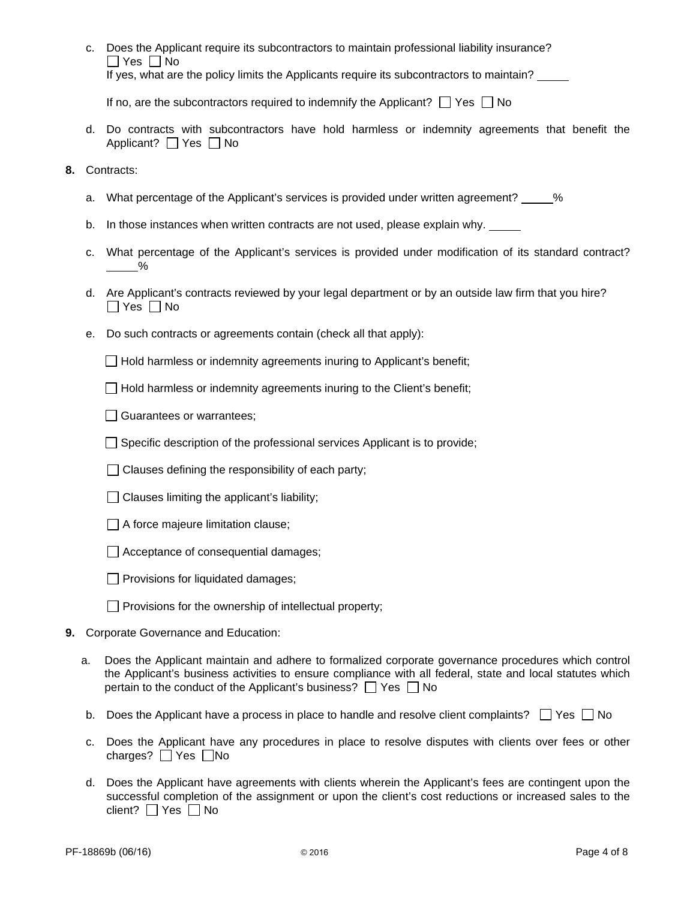c. Does the Applicant require its subcontractors to maintain professional liability insurance?  $\Box$  Yes  $\Box$  No If yes, what are the policy limits the Applicants require its subcontractors to maintain?

If no, are the subcontractors required to indemnify the Applicant?  $\Box$  Yes  $\Box$  No

- d. Do contracts with subcontractors have hold harmless or indemnity agreements that benefit the Applicant?  $\Box$  Yes  $\Box$  No
- **8.** Contracts:
	- a. What percentage of the Applicant's services is provided under written agreement?  $\%$
	- b. In those instances when written contracts are not used, please explain why. \_\_\_\_\_
	- c. What percentage of the Applicant's services is provided under modification of its standard contract? %
	- d. Are Applicant's contracts reviewed by your legal department or by an outside law firm that you hire?  $\Box$  Yes  $\Box$  No
	- e. Do such contracts or agreements contain (check all that apply):

 $\Box$  Hold harmless or indemnity agreements inuring to Applicant's benefit;

 $\Box$  Hold harmless or indemnity agreements inuring to the Client's benefit;

- Guarantees or warrantees;
- $\Box$  Specific description of the professional services Applicant is to provide;
- $\Box$  Clauses defining the responsibility of each party;
- $\Box$  Clauses limiting the applicant's liability;
- $\Box$  A force majeure limitation clause;
- $\Box$  Acceptance of consequential damages;
- $\Box$  Provisions for liquidated damages;
- $\Box$  Provisions for the ownership of intellectual property;
- **9.** Corporate Governance and Education:
	- a. Does the Applicant maintain and adhere to formalized corporate governance procedures which control the Applicant's business activities to ensure compliance with all federal, state and local statutes which pertain to the conduct of the Applicant's business?  $\Box$  Yes  $\Box$  No
	- b. Does the Applicant have a process in place to handle and resolve client complaints?  $\Box$  Yes  $\Box$  No
	- c. Does the Applicant have any procedures in place to resolve disputes with clients over fees or other charges?  $\Box$  Yes  $\Box$  No
	- d. Does the Applicant have agreements with clients wherein the Applicant's fees are contingent upon the successful completion of the assignment or upon the client's cost reductions or increased sales to the client?  $\Box$  Yes  $\Box$  No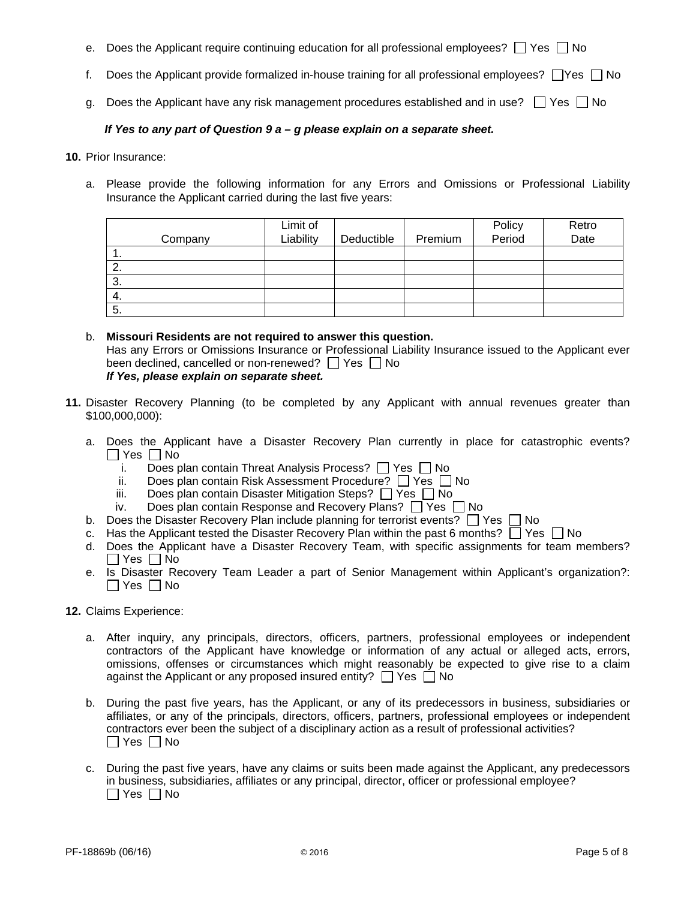- e. Does the Applicant require continuing education for all professional employees?  $\Box$  Yes  $\Box$  No
- f. Does the Applicant provide formalized in-house training for all professional employees?  $\Box$  Yes  $\Box$  No
- g. Does the Applicant have any risk management procedures established and in use?  $\Box$  Yes  $\Box$  No

# *If Yes to any part of Question 9 a – g please explain on a separate sheet.*

**10.** Prior Insurance:

a. Please provide the following information for any Errors and Omissions or Professional Liability Insurance the Applicant carried during the last five years:

| Company | Limit of<br>Liability | Deductible | Premium | Policy<br>Period | Retro<br>Date |
|---------|-----------------------|------------|---------|------------------|---------------|
| . .     |                       |            |         |                  |               |
| ۷.      |                       |            |         |                  |               |
| 3.      |                       |            |         |                  |               |
| 4.      |                       |            |         |                  |               |
| 5.      |                       |            |         |                  |               |

- b. **Missouri Residents are not required to answer this question.** Has any Errors or Omissions Insurance or Professional Liability Insurance issued to the Applicant ever been declined, cancelled or non-renewed?  $\Box$  Yes  $\Box$  No *If Yes, please explain on separate sheet.*
- **11.** Disaster Recovery Planning (to be completed by any Applicant with annual revenues greater than \$100,000,000):
	- a. Does the Applicant have a Disaster Recovery Plan currently in place for catastrophic events?  $\Box$  Yes  $\Box$  No
		- i. Does plan contain Threat Analysis Process?  $\Box$  Yes  $\Box$  No
		- ii. Does plan contain Risk Assessment Procedure?  $\Box$  Yes  $\Box$  No
		- iii. Does plan contain Disaster Mitigation Steps?  $\Box$  Yes  $\Box$  No
		- iv. Does plan contain Response and Recovery Plans?  $\Box$  Yes  $\Box$  No
	- b. Does the Disaster Recovery Plan include planning for terrorist events?  $\Box$  Yes  $\Box$  No
	- c. Has the Applicant tested the Disaster Recovery Plan within the past 6 months?  $\Box$  Yes  $\Box$  No
	- d. Does the Applicant have a Disaster Recovery Team, with specific assignments for team members?  $\Box$  Yes  $\Box$  No
	- e. Is Disaster Recovery Team Leader a part of Senior Management within Applicant's organization?:  $\Box$  Yes  $\Box$  No
- **12.** Claims Experience:
	- a. After inquiry, any principals, directors, officers, partners, professional employees or independent contractors of the Applicant have knowledge or information of any actual or alleged acts, errors, omissions, offenses or circumstances which might reasonably be expected to give rise to a claim against the Applicant or any proposed insured entity?  $\Box$  Yes  $\Box$  No
	- b. During the past five years, has the Applicant, or any of its predecessors in business, subsidiaries or affiliates, or any of the principals, directors, officers, partners, professional employees or independent contractors ever been the subject of a disciplinary action as a result of professional activities?  $\Box$  Yes  $\Box$  No
	- c. During the past five years, have any claims or suits been made against the Applicant, any predecessors in business, subsidiaries, affiliates or any principal, director, officer or professional employee?  $\Box$  Yes  $\Box$  No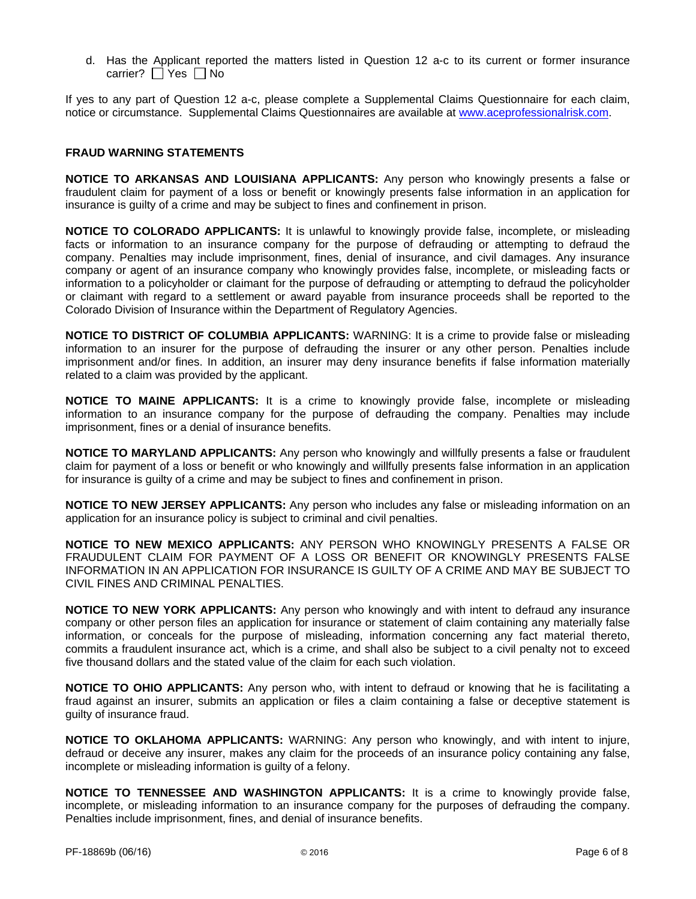d. Has the Applicant reported the matters listed in Question 12 a-c to its current or former insurance carrier?  $\Box$  Yes  $\Box$  No

If yes to any part of Question 12 a-c, please complete a Supplemental Claims Questionnaire for each claim, notice or circumstance. Supplemental Claims Questionnaires are available at www.aceprofessionalrisk.com.

#### **FRAUD WARNING STATEMENTS**

**NOTICE TO ARKANSAS AND LOUISIANA APPLICANTS:** Any person who knowingly presents a false or fraudulent claim for payment of a loss or benefit or knowingly presents false information in an application for insurance is guilty of a crime and may be subject to fines and confinement in prison.

**NOTICE TO COLORADO APPLICANTS:** It is unlawful to knowingly provide false, incomplete, or misleading facts or information to an insurance company for the purpose of defrauding or attempting to defraud the company. Penalties may include imprisonment, fines, denial of insurance, and civil damages. Any insurance company or agent of an insurance company who knowingly provides false, incomplete, or misleading facts or information to a policyholder or claimant for the purpose of defrauding or attempting to defraud the policyholder or claimant with regard to a settlement or award payable from insurance proceeds shall be reported to the Colorado Division of Insurance within the Department of Regulatory Agencies.

**NOTICE TO DISTRICT OF COLUMBIA APPLICANTS:** WARNING: It is a crime to provide false or misleading information to an insurer for the purpose of defrauding the insurer or any other person. Penalties include imprisonment and/or fines. In addition, an insurer may deny insurance benefits if false information materially related to a claim was provided by the applicant.

**NOTICE TO MAINE APPLICANTS:** It is a crime to knowingly provide false, incomplete or misleading information to an insurance company for the purpose of defrauding the company. Penalties may include imprisonment, fines or a denial of insurance benefits.

**NOTICE TO MARYLAND APPLICANTS:** Any person who knowingly and willfully presents a false or fraudulent claim for payment of a loss or benefit or who knowingly and willfully presents false information in an application for insurance is guilty of a crime and may be subject to fines and confinement in prison.

**NOTICE TO NEW JERSEY APPLICANTS:** Any person who includes any false or misleading information on an application for an insurance policy is subject to criminal and civil penalties.

**NOTICE TO NEW MEXICO APPLICANTS:** ANY PERSON WHO KNOWINGLY PRESENTS A FALSE OR FRAUDULENT CLAIM FOR PAYMENT OF A LOSS OR BENEFIT OR KNOWINGLY PRESENTS FALSE INFORMATION IN AN APPLICATION FOR INSURANCE IS GUILTY OF A CRIME AND MAY BE SUBJECT TO CIVIL FINES AND CRIMINAL PENALTIES.

**NOTICE TO NEW YORK APPLICANTS:** Any person who knowingly and with intent to defraud any insurance company or other person files an application for insurance or statement of claim containing any materially false information, or conceals for the purpose of misleading, information concerning any fact material thereto, commits a fraudulent insurance act, which is a crime, and shall also be subject to a civil penalty not to exceed five thousand dollars and the stated value of the claim for each such violation.

**NOTICE TO OHIO APPLICANTS:** Any person who, with intent to defraud or knowing that he is facilitating a fraud against an insurer, submits an application or files a claim containing a false or deceptive statement is guilty of insurance fraud.

**NOTICE TO OKLAHOMA APPLICANTS:** WARNING: Any person who knowingly, and with intent to injure, defraud or deceive any insurer, makes any claim for the proceeds of an insurance policy containing any false, incomplete or misleading information is guilty of a felony.

**NOTICE TO TENNESSEE AND WASHINGTON APPLICANTS:** It is a crime to knowingly provide false, incomplete, or misleading information to an insurance company for the purposes of defrauding the company. Penalties include imprisonment, fines, and denial of insurance benefits.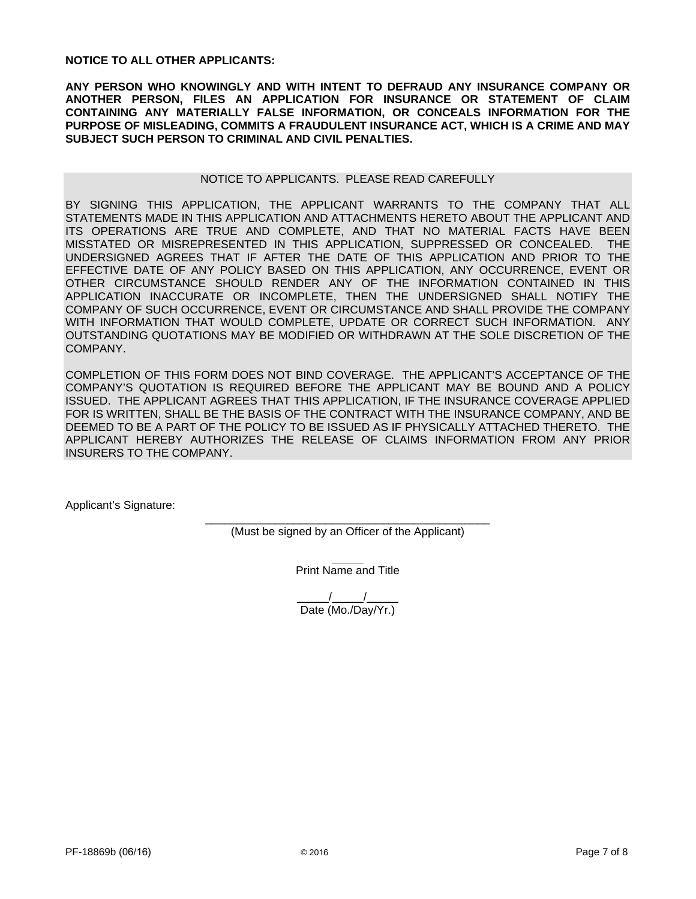**NOTICE TO ALL OTHER APPLICANTS:** 

**ANY PERSON WHO KNOWINGLY AND WITH INTENT TO DEFRAUD ANY INSURANCE COMPANY OR ANOTHER PERSON, FILES AN APPLICATION FOR INSURANCE OR STATEMENT OF CLAIM CONTAINING ANY MATERIALLY FALSE INFORMATION, OR CONCEALS INFORMATION FOR THE PURPOSE OF MISLEADING, COMMITS A FRAUDULENT INSURANCE ACT, WHICH IS A CRIME AND MAY SUBJECT SUCH PERSON TO CRIMINAL AND CIVIL PENALTIES.** 

## NOTICE TO APPLICANTS. PLEASE READ CAREFULLY

BY SIGNING THIS APPLICATION, THE APPLICANT WARRANTS TO THE COMPANY THAT ALL STATEMENTS MADE IN THIS APPLICATION AND ATTACHMENTS HERETO ABOUT THE APPLICANT AND ITS OPERATIONS ARE TRUE AND COMPLETE, AND THAT NO MATERIAL FACTS HAVE BEEN MISSTATED OR MISREPRESENTED IN THIS APPLICATION, SUPPRESSED OR CONCEALED. THE UNDERSIGNED AGREES THAT IF AFTER THE DATE OF THIS APPLICATION AND PRIOR TO THE EFFECTIVE DATE OF ANY POLICY BASED ON THIS APPLICATION, ANY OCCURRENCE, EVENT OR OTHER CIRCUMSTANCE SHOULD RENDER ANY OF THE INFORMATION CONTAINED IN THIS APPLICATION INACCURATE OR INCOMPLETE, THEN THE UNDERSIGNED SHALL NOTIFY THE COMPANY OF SUCH OCCURRENCE, EVENT OR CIRCUMSTANCE AND SHALL PROVIDE THE COMPANY WITH INFORMATION THAT WOULD COMPLETE, UPDATE OR CORRECT SUCH INFORMATION. ANY OUTSTANDING QUOTATIONS MAY BE MODIFIED OR WITHDRAWN AT THE SOLE DISCRETION OF THE COMPANY.

COMPLETION OF THIS FORM DOES NOT BIND COVERAGE. THE APPLICANT'S ACCEPTANCE OF THE COMPANY'S QUOTATION IS REQUIRED BEFORE THE APPLICANT MAY BE BOUND AND A POLICY ISSUED. THE APPLICANT AGREES THAT THIS APPLICATION, IF THE INSURANCE COVERAGE APPLIED FOR IS WRITTEN, SHALL BE THE BASIS OF THE CONTRACT WITH THE INSURANCE COMPANY, AND BE DEEMED TO BE A PART OF THE POLICY TO BE ISSUED AS IF PHYSICALLY ATTACHED THERETO. THE APPLICANT HEREBY AUTHORIZES THE RELEASE OF CLAIMS INFORMATION FROM ANY PRIOR INSURERS TO THE COMPANY.

Applicant's Signature:

\_\_\_\_\_\_\_\_\_\_\_\_\_\_\_\_\_\_\_\_\_\_\_\_\_\_\_\_\_\_\_\_\_\_\_\_\_\_\_\_\_\_\_\_\_ (Must be signed by an Officer of the Applicant)

Print Name and Title

/ / Date (Mo./Day/Yr.)